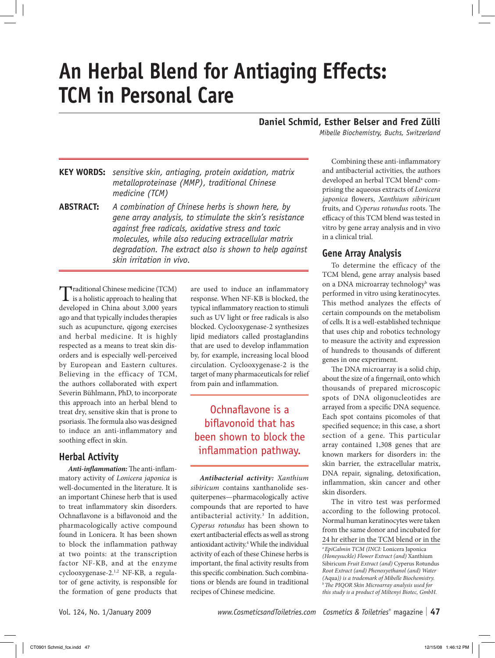# **An Herbal Blend for Antiaging Effects: TCM in Personal Care**

## **Daniel Schmid, Esther Belser and Fred Zülli**

*Mibelle Biochemistry, Buchs, Switzerland*

**Key words:** *sensitive skin, antiaging, protein oxidation, matrix metalloproteinase (MMP), traditional Chinese medicine (TCM)*

**Abstract:** *A combination of Chinese herbs is shown here, by gene array analysis, to stimulate the skin's resistance against free radicals, oxidative stress and toxic molecules, while also reducing extracellular matrix degradation. The extract also is shown to help against skin irritation in vivo.*

Traditional Chinese medicine (TCM)  $\mathbf I$  is a holistic approach to healing that developed in China about 3,000 years ago and that typically includes therapies such as acupuncture, qigong exercises and herbal medicine. It is highly respected as a means to treat skin disorders and is especially well-perceived by European and Eastern cultures. Believing in the efficacy of TCM, the authors collaborated with expert Severin Bühlmann, PhD, to incorporate this approach into an herbal blend to treat dry, sensitive skin that is prone to psoriasis. The formula also was designed to induce an anti-inflammatory and soothing effect in skin.

## **Herbal Activity**

*Anti-inflammation:* The anti-inflammatory activity of *Lonicera japonica* is well-documented in the literature. It is an important Chinese herb that is used to treat inflammatory skin disorders. Ochnaflavone is a biflavonoid and the pharmacologically active compound found in Lonicera. It has been shown to block the inflammation pathway at two points: at the transcription factor NF-ΚB, and at the enzyme cyclooxygenase-2.1,2 NF-ΚB, a regulator of gene activity, is responsible for the formation of gene products that

are used to induce an inflammatory response. When NF-ΚB is blocked, the typical inflammatory reaction to stimuli such as UV light or free radicals is also blocked. Cyclooxygenase-2 synthesizes lipid mediators called prostaglandins that are used to develop inflammation by, for example, increasing local blood circulation. Cyclooxygenase-2 is the target of many pharmaceuticals for relief from pain and inflammation.

Ochnaflavone is a biflavonoid that has been shown to block the inflammation pathway.

*Antibacterial activity: Xanthium sibiricum* contains xanthanolide sesquiterpenes—pharmacologically active compounds that are reported to have antibacterial activity.3 In addition, *Cyperus rotundus* has been shown to exert antibacterial effects as well as strong antioxidant activity.<sup>4</sup> While the individual activity of each of these Chinese herbs is important, the final activity results from this specific combination. Such combinations or blends are found in traditional recipes of Chinese medicine.

Combining these anti-inflammatory and antibacterial activities, the authors developed an herbal TCM blend<sup>a</sup> comprising the aqueous extracts of *Lonicera japonica* flowers, *Xanthium sibiricum*  fruits, and *Cyperus rotundus* roots. The efficacy of this TCM blend was tested in vitro by gene array analysis and in vivo in a clinical trial.

## **Gene Array Analysis**

To determine the efficacy of the TCM blend, gene array analysis based on a DNA microarray technology<sup>b</sup> was performed in vitro using keratinocytes. This method analyzes the effects of certain compounds on the metabolism of cells. It is a well-established technique that uses chip and robotics technology to measure the activity and expression of hundreds to thousands of different genes in one experiment.

The DNA microarray is a solid chip, about the size of a fingernail, onto which thousands of prepared microscopic spots of DNA oligonucleotides are arrayed from a specific DNA sequence. Each spot contains picomoles of that specified sequence; in this case, a short section of a gene. This particular array contained 1,308 genes that are known markers for disorders in: the skin barrier, the extracellular matrix, DNA repair, signaling, detoxification, inflammation, skin cancer and other skin disorders.

The in vitro test was performed according to the following protocol. Normal human keratinocytes were taken from the same donor and incubated for 24 hr either in the TCM blend or in the

*aEpiCalmin TCM (INCI:* Lonicera Japonica *(Honeysuckle) Flower Extract (and)* Xanthium Sibiricum *Fruit Extract (and)* Cyperus Rotundus *Root Extract (and) Phenoxyethanol (and) Water*  <sup>b</sup> The PIQOR Skin Microarray analysis used for *this study is a product of Miltenyi Biotec, GmbH.*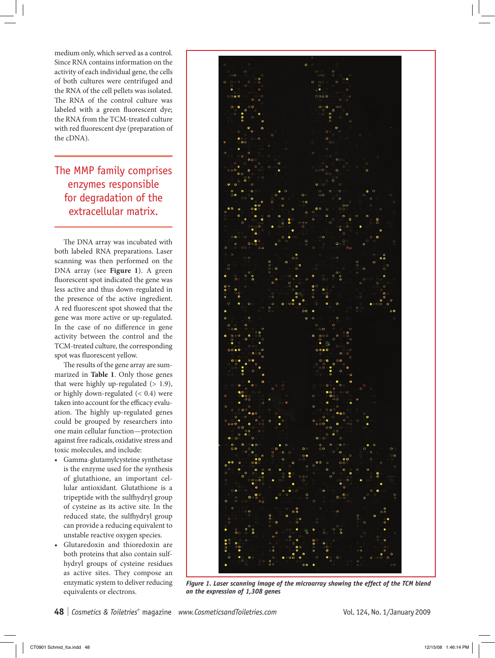medium only, which served as a control. Since RNA contains information on the activity of each individual gene, the cells of both cultures were centrifuged and the RNA of the cell pellets was isolated. The RNA of the control culture was labeled with a green fluorescent dye; the RNA from the TCM-treated culture with red fluorescent dye (preparation of the cDNA).

## The MMP family comprises enzymes responsible for degradation of the extracellular matrix.

The DNA array was incubated with both labeled RNA preparations. Laser scanning was then performed on the DNA array (see **Figure 1**). A green fluorescent spot indicated the gene was less active and thus down-regulated in the presence of the active ingredient. A red fluorescent spot showed that the gene was more active or up-regulated. In the case of no difference in gene activity between the control and the TCM-treated culture, the corresponding spot was fluorescent yellow.

The results of the gene array are summarized in **Table 1**. Only those genes that were highly up-regulated  $(> 1.9)$ , or highly down-regulated (< 0.4) were taken into account for the efficacy evaluation. The highly up-regulated genes could be grouped by researchers into one main cellular function—protection against free radicals, oxidative stress and toxic molecules, and include:

- Gamma-glutamylcysteine synthetase is the enzyme used for the synthesis of glutathione, an important cellular antioxidant. Glutathione is a tripeptide with the sulfhydryl group of cysteine as its active site. In the reduced state, the sulfhydryl group can provide a reducing equivalent to unstable reactive oxygen species.
- Glutaredoxin and thioredoxin are both proteins that also contain sulfhydryl groups of cysteine residues as active sites. They compose an enzymatic system to deliver reducing equivalents or electrons.



*Figure 1. Laser scanning image of the microarray showing the effect of the TCM blend on the expression of 1,308 genes*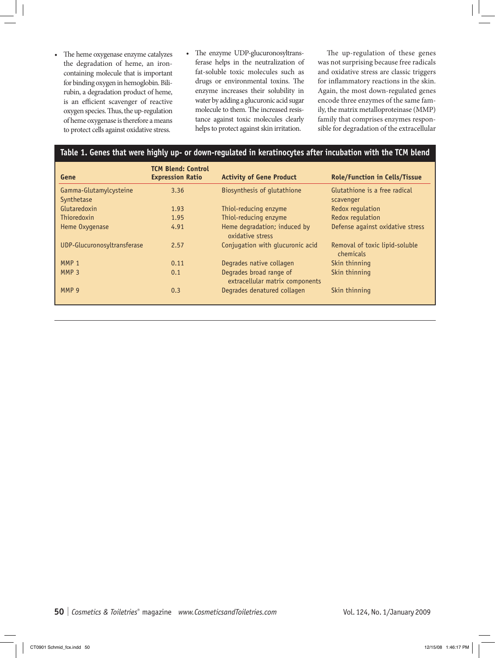- The heme oxygenase enzyme catalyzes the degradation of heme, an ironcontaining molecule that is important for binding oxygen in hemoglobin. Bilirubin, a degradation product of heme, is an efficient scavenger of reactive oxygen species. Thus, the up-regulation of heme oxygenase is therefore a means to protect cells against oxidative stress.
- The enzyme UDP-glucuronosyltransferase helps in the neutralization of fat-soluble toxic molecules such as drugs or environmental toxins. The enzyme increases their solubility in water by adding a glucuronic acid sugar molecule to them. The increased resistance against toxic molecules clearly helps to protect against skin irritation.

The up-regulation of these genes was not surprising because free radicals and oxidative stress are classic triggers for inflammatory reactions in the skin. Again, the most down-regulated genes encode three enzymes of the same family, the matrix metalloproteinase (MMP) family that comprises enzymes responsible for degradation of the extracellular

### **Table 1. Genes that were highly up- or down-regulated in keratinocytes after incubation with the TCM blend**

| Gene                                 | <b>TCM Blend: Control</b><br><b>Expression Ratio</b> | <b>Activity of Gene Product</b>                            | <b>Role/Function in Cells/Tissue</b>        |
|--------------------------------------|------------------------------------------------------|------------------------------------------------------------|---------------------------------------------|
| Gamma-Glutamylcysteine<br>Synthetase | 3.36                                                 | Biosynthesis of glutathione                                | Glutathione is a free radical<br>scavenger  |
| Glutaredoxin                         | 1.93                                                 | Thiol-reducing enzyme                                      | Redox regulation                            |
| <b>Thioredoxin</b>                   | 1.95                                                 | Thiol-reducing enzyme                                      | Redox regulation                            |
| Heme Oxygenase                       | 4.91                                                 | Heme degradation; induced by<br>oxidative stress           | Defense against oxidative stress            |
| UDP-Glucuronosyltransferase          | 2.57                                                 | Conjugation with glucuronic acid                           | Removal of toxic lipid-soluble<br>chemicals |
| MMP <sub>1</sub>                     | 0.11                                                 | Degrades native collagen                                   | Skin thinning                               |
| MMP <sub>3</sub>                     | 0.1                                                  | Degrades broad range of<br>extracellular matrix components | Skin thinning                               |
| MMP 9                                | 0.3                                                  | Degrades denatured collagen                                | Skin thinning                               |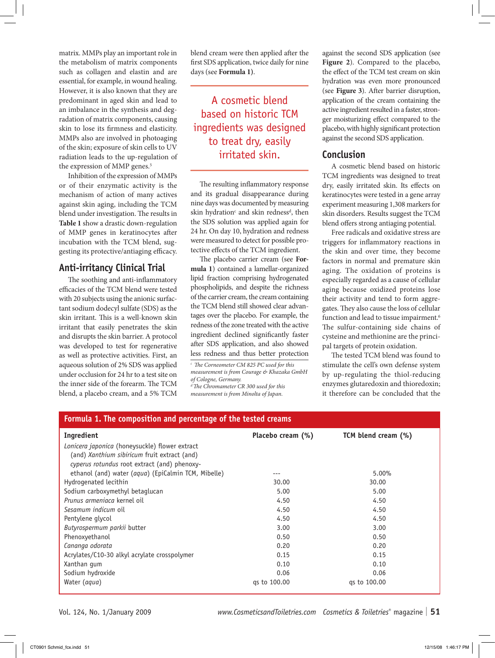matrix. MMPs play an important role in the metabolism of matrix components such as collagen and elastin and are essential, for example, in wound healing. However, it is also known that they are predominant in aged skin and lead to an imbalance in the synthesis and degradation of matrix components, causing skin to lose its firmness and elasticity. MMPs also are involved in photoaging of the skin; exposure of skin cells to UV radiation leads to the up-regulation of the expression of MMP genes.<sup>5</sup>

Inhibition of the expression of MMPs or of their enzymatic activity is the mechanism of action of many actives against skin aging, including the TCM blend under investigation. The results in **Table 1** show a drastic down-regulation of MMP genes in keratinocytes after incubation with the TCM blend, suggesting its protective/antiaging efficacy.

## **Anti-irritancy Clinical Trial**

The soothing and anti-inflammatory efficacies of the TCM blend were tested with 20 subjects using the anionic surfactant sodium dodecyl sulfate (SDS) as the skin irritant. This is a well-known skin irritant that easily penetrates the skin and disrupts the skin barrier. A protocol was developed to test for regenerative as well as protective activities. First, an aqueous solution of 2% SDS was applied under occlusion for 24 hr to a test site on the inner side of the forearm. The TCM blend, a placebo cream, and a 5% TCM

blend cream were then applied after the first SDS application, twice daily for nine days (see **Formula 1)**.

A cosmetic blend based on historic TCM ingredients was designed to treat dry, easily irritated skin.

The resulting inflammatory response and its gradual disappearance during nine days was documented by measuring skin hydration<sup>c</sup> and skin redness<sup>d</sup>, then the SDS solution was applied again for 24 hr. On day 10, hydration and redness were measured to detect for possible protective effects of the TCM ingredient.

The placebo carrier cream (see **Formula 1**) contained a lamellar-organized lipid fraction comprising hydrogenated phospholipids, and despite the richness of the carrier cream, the cream containing the TCM blend still showed clear advantages over the placebo. For example, the redness of the zone treated with the active ingredient declined significantly faster after SDS application, and also showed less redness and thus better protection

*c The Corneometer CM 825 PC used for this measurement is from Courage & Khazaka GmbH of Cologne, Germany.*

*d The Chromameter CR 300 used for this measurement is from Minolta of Japan.*

against the second SDS application (see **Figure 2**). Compared to the placebo, the effect of the TCM test cream on skin hydration was even more pronounced (see **Figure 3**). After barrier disruption, application of the cream containing the active ingredient resulted in a faster, stronger moisturizing effect compared to the placebo, with highly significant protection against the second SDS application.

## **Conclusion**

A cosmetic blend based on historic TCM ingredients was designed to treat dry, easily irritated skin. Its effects on keratinocytes were tested in a gene array experiment measuring 1,308 markers for skin disorders. Results suggest the TCM blend offers strong antiaging potential.

Free radicals and oxidative stress are triggers for inflammatory reactions in the skin and over time, they become factors in normal and premature skin aging. The oxidation of proteins is especially regarded as a cause of cellular aging because oxidized proteins lose their activity and tend to form aggregates. They also cause the loss of cellular function and lead to tissue impairment.<sup>6</sup> The sulfur-containing side chains of cysteine and methionine are the principal targets of protein oxidation.

The tested TCM blend was found to stimulate the cell's own defense system by up-regulating the thiol-reducing enzymes glutaredoxin and thioredoxin; it therefore can be concluded that the

| Formula 1. The composition and percentage of the tested creams |                   |                     |  |  |
|----------------------------------------------------------------|-------------------|---------------------|--|--|
| Ingredient                                                     | Placebo cream (%) | TCM blend cream (%) |  |  |
| Lonicera japonica (honeysuckle) flower extract                 |                   |                     |  |  |
| (and) Xanthium sibiricum fruit extract (and)                   |                   |                     |  |  |
| cyperus rotundus root extract (and) phenoxy-                   |                   |                     |  |  |
| ethanol (and) water (aqua) (EpiCalmin TCM, Mibelle)            |                   | 5.00%               |  |  |
| Hydrogenated lecithin                                          | 30.00             | 30.00               |  |  |
| Sodium carboxymethyl betaglucan                                | 5.00              | 5.00                |  |  |
| <i>Prunus armeniaca</i> kernel oil                             | 4.50              | 4.50                |  |  |
| Sesamum indicum oil                                            | 4.50              | 4.50                |  |  |
| Pentylene glycol                                               | 4.50              | 4.50                |  |  |
| Butyrospermum parkii butter                                    | 3.00              | 3.00                |  |  |
| Phenoxyethanol                                                 | 0.50              | 0.50                |  |  |
| Cananga odorata                                                | 0.20              | 0.20                |  |  |
| Acrylates/C10-30 alkyl acrylate crosspolymer                   | 0.15              | 0.15                |  |  |
| Xanthan gum                                                    | 0.10              | 0.10                |  |  |
| Sodium hydroxide                                               | 0.06              | 0.06                |  |  |
| Water (aqua)                                                   | gs to 100.00      | gs to 100.00        |  |  |